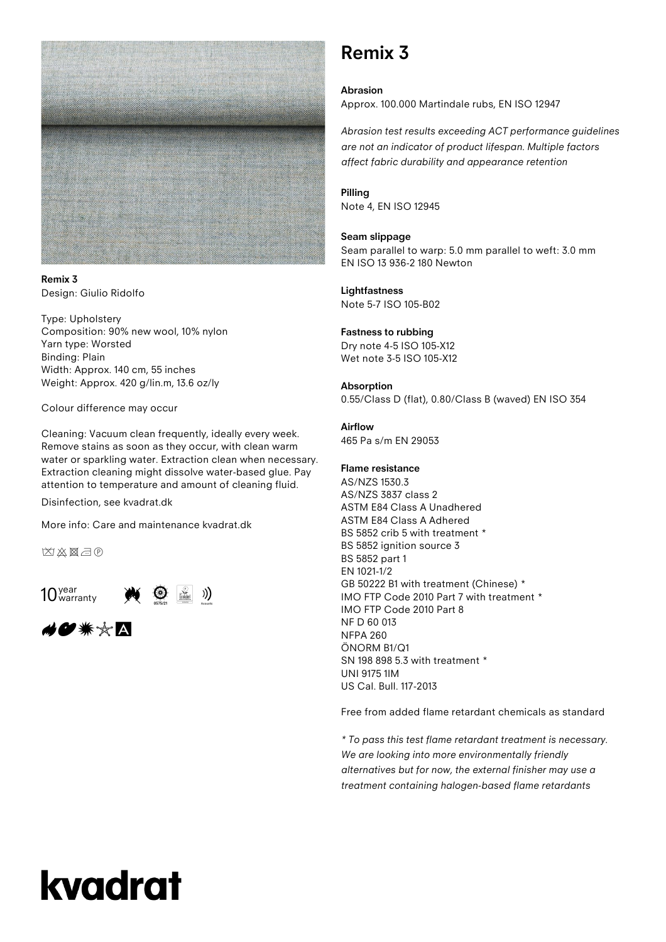

**Remix 3** Design: Giulio Ridolfo

Type: Upholstery Composition: 90% new wool, 10% nylon Yarn type: Worsted Binding: Plain Width: Approx. 140 cm, 55 inches Weight: Approx. 420 g/lin.m, 13.6 oz/ly

Colour difference may occur

Cleaning: Vacuum clean frequently, ideally every week. Remove stains as soon as they occur, with clean warm water or sparkling water. Extraction clean when necessary. Extraction cleaning might dissolve water-based glue. Pay attention to temperature and amount of cleaning fluid.

Disinfection, see kvadrat.dk

More info: Care and maintenance kvadrat.dk

凶凶图示



ક*vo* \*☆A

### **Remix 3**

**Abrasion** Approx. 100.000 Martindale rubs, EN ISO 12947

*Abrasion test results exceeding ACT performance guidelines are not an indicator of product lifespan. Multiple factors affect fabric durability and appearance retention*

#### **Pilling**

Note 4, EN ISO 12945

#### **Seam slippage**

Seam parallel to warp: 5.0 mm parallel to weft: 3.0 mm EN ISO 13 936-2 180 Newton

#### **Lightfastness** Note 5-7 ISO 105-B02

#### **Fastness to rubbing**

Dry note 4-5 ISO 105-X12 Wet note 3-5 ISO 105-X12

#### **Absorption**

0.55/Class D (flat), 0.80/Class B (waved) EN ISO 354

#### **Airflow**

465 Pa s/m EN 29053

#### **Flame resistance**

AS/NZS 1530.3 AS/NZS 3837 class 2 ASTM E84 Class A Unadhered ASTM E84 Class A Adhered BS 5852 crib 5 with treatment \* BS 5852 ignition source 3 BS 5852 part 1 EN 1021-1/2 GB 50222 B1 with treatment (Chinese) \* IMO FTP Code 2010 Part 7 with treatment \* IMO FTP Code 2010 Part 8 NF D 60 013 NFPA 260 ÖNORM B1/Q1 SN 198 898 5.3 with treatment \* UNI 9175 1IM US Cal. Bull. 117-2013

Free from added flame retardant chemicals as standard

*\* To pass this test flame retardant treatment is necessary. We are looking into more environmentally friendly alternatives but for now, the external finisher may use a treatment containing halogen-based flame retardants*

# kvadrat